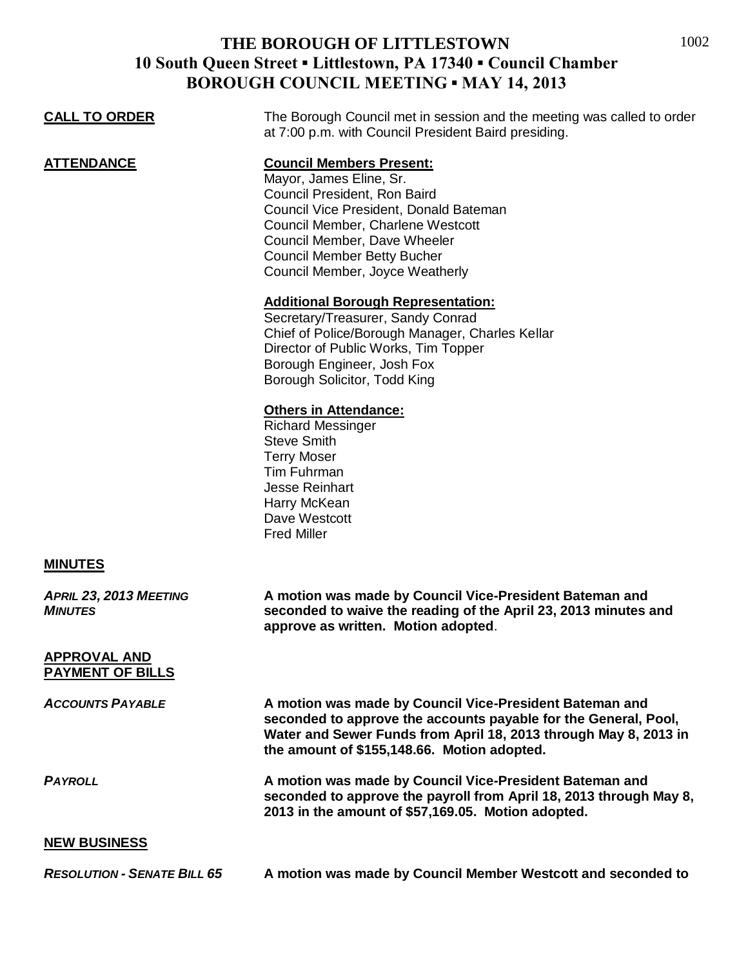## **THE BOROUGH OF LITTLESTOWN 10 South Queen Street ▪ Littlestown, PA 17340 ▪ Council Chamber BOROUGH COUNCIL MEETING ▪ MAY 14, 2013**

| <b>CALL TO ORDER</b>                           | The Borough Council met in session and the meeting was called to order<br>at 7:00 p.m. with Council President Baird presiding.                                                                                                                                                     |
|------------------------------------------------|------------------------------------------------------------------------------------------------------------------------------------------------------------------------------------------------------------------------------------------------------------------------------------|
| <u>ATTENDANCE</u>                              | <b>Council Members Present:</b><br>Mayor, James Eline, Sr.<br>Council President, Ron Baird<br>Council Vice President, Donald Bateman<br>Council Member, Charlene Westcott<br>Council Member, Dave Wheeler<br><b>Council Member Betty Bucher</b><br>Council Member, Joyce Weatherly |
|                                                | <b>Additional Borough Representation:</b><br>Secretary/Treasurer, Sandy Conrad<br>Chief of Police/Borough Manager, Charles Kellar<br>Director of Public Works, Tim Topper<br>Borough Engineer, Josh Fox<br>Borough Solicitor, Todd King                                            |
|                                                | <b>Others in Attendance:</b><br><b>Richard Messinger</b><br><b>Steve Smith</b><br><b>Terry Moser</b><br>Tim Fuhrman<br><b>Jesse Reinhart</b><br>Harry McKean<br>Dave Westcott<br><b>Fred Miller</b>                                                                                |
| <b>MINUTES</b>                                 |                                                                                                                                                                                                                                                                                    |
| APRIL 23, 2013 MEETING<br><b>MINUTES</b>       | A motion was made by Council Vice-President Bateman and<br>seconded to waive the reading of the April 23, 2013 minutes and<br>approve as written. Motion adopted.                                                                                                                  |
| <b>APPROVAL AND</b><br><b>PAYMENT OF BILLS</b> |                                                                                                                                                                                                                                                                                    |
| <b>ACCOUNTS PAYABLE</b>                        | A motion was made by Council Vice-President Bateman and<br>seconded to approve the accounts payable for the General, Pool,<br>Water and Sewer Funds from April 18, 2013 through May 8, 2013 in<br>the amount of \$155,148.66. Motion adopted.                                      |
| <b>PAYROLL</b>                                 | A motion was made by Council Vice-President Bateman and<br>seconded to approve the payroll from April 18, 2013 through May 8,<br>2013 in the amount of \$57,169.05. Motion adopted.                                                                                                |
| <b>NEW BUSINESS</b>                            |                                                                                                                                                                                                                                                                                    |
| <b>RESOLUTION - SENATE BILL 65</b>             | A motion was made by Council Member Westcott and seconded to                                                                                                                                                                                                                       |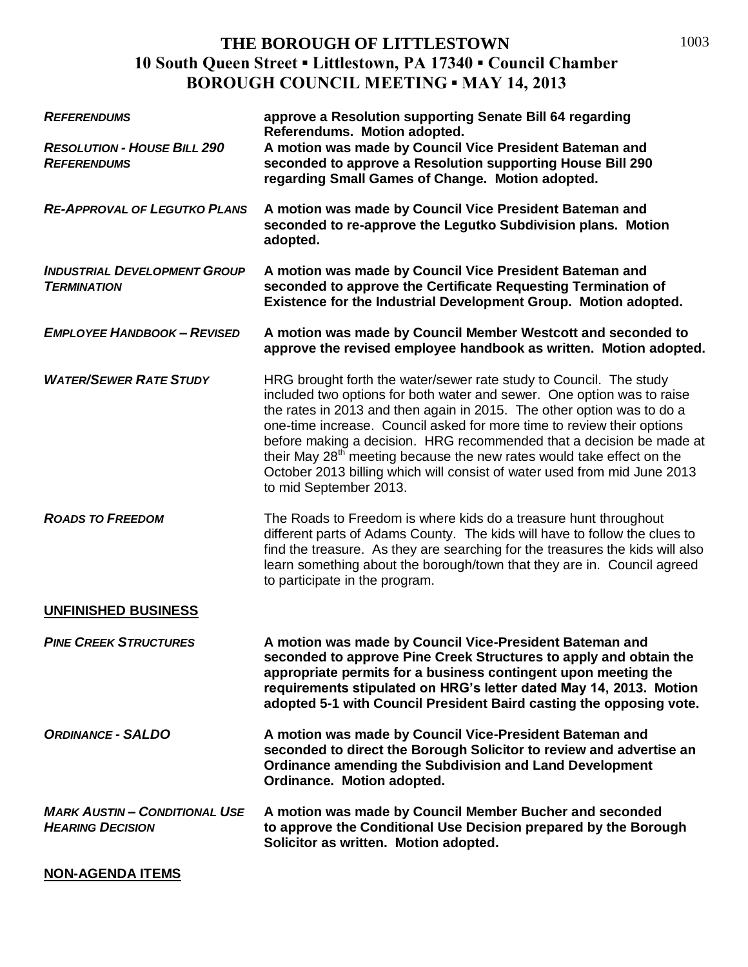## **THE BOROUGH OF LITTLESTOWN 10 South Queen Street ▪ Littlestown, PA 17340 ▪ Council Chamber BOROUGH COUNCIL MEETING ▪ MAY 14, 2013**

| <b>REFERENDUMS</b>                                              | approve a Resolution supporting Senate Bill 64 regarding<br>Referendums. Motion adopted.                                                                                                                                                                                                                                                                                                                                                                                                                                                                            |
|-----------------------------------------------------------------|---------------------------------------------------------------------------------------------------------------------------------------------------------------------------------------------------------------------------------------------------------------------------------------------------------------------------------------------------------------------------------------------------------------------------------------------------------------------------------------------------------------------------------------------------------------------|
| <b>RESOLUTION - HOUSE BILL 290</b><br><b>REFERENDUMS</b>        | A motion was made by Council Vice President Bateman and<br>seconded to approve a Resolution supporting House Bill 290<br>regarding Small Games of Change. Motion adopted.                                                                                                                                                                                                                                                                                                                                                                                           |
| <b>RE-APPROVAL OF LEGUTKO PLANS</b>                             | A motion was made by Council Vice President Bateman and<br>seconded to re-approve the Legutko Subdivision plans. Motion<br>adopted.                                                                                                                                                                                                                                                                                                                                                                                                                                 |
| <b>INDUSTRIAL DEVELOPMENT GROUP</b><br><b>TERMINATION</b>       | A motion was made by Council Vice President Bateman and<br>seconded to approve the Certificate Requesting Termination of<br>Existence for the Industrial Development Group. Motion adopted.                                                                                                                                                                                                                                                                                                                                                                         |
| <b>EMPLOYEE HANDBOOK - REVISED</b>                              | A motion was made by Council Member Westcott and seconded to<br>approve the revised employee handbook as written. Motion adopted.                                                                                                                                                                                                                                                                                                                                                                                                                                   |
| <b>WATER/SEWER RATE STUDY</b>                                   | HRG brought forth the water/sewer rate study to Council. The study<br>included two options for both water and sewer. One option was to raise<br>the rates in 2013 and then again in 2015. The other option was to do a<br>one-time increase. Council asked for more time to review their options<br>before making a decision. HRG recommended that a decision be made at<br>their May 28 <sup>th</sup> meeting because the new rates would take effect on the<br>October 2013 billing which will consist of water used from mid June 2013<br>to mid September 2013. |
| <b>ROADS TO FREEDOM</b>                                         | The Roads to Freedom is where kids do a treasure hunt throughout<br>different parts of Adams County. The kids will have to follow the clues to<br>find the treasure. As they are searching for the treasures the kids will also<br>learn something about the borough/town that they are in. Council agreed<br>to participate in the program.                                                                                                                                                                                                                        |
| <b>UNFINISHED BUSINESS</b>                                      |                                                                                                                                                                                                                                                                                                                                                                                                                                                                                                                                                                     |
| <b>PINE CREEK STRUCTURES</b>                                    | A motion was made by Council Vice-President Bateman and<br>seconded to approve Pine Creek Structures to apply and obtain the<br>appropriate permits for a business contingent upon meeting the<br>requirements stipulated on HRG's letter dated May 14, 2013. Motion<br>adopted 5-1 with Council President Baird casting the opposing vote.                                                                                                                                                                                                                         |
| <b>ORDINANCE - SALDO</b>                                        | A motion was made by Council Vice-President Bateman and<br>seconded to direct the Borough Solicitor to review and advertise an<br>Ordinance amending the Subdivision and Land Development<br>Ordinance. Motion adopted.                                                                                                                                                                                                                                                                                                                                             |
| <b>MARK AUSTIN - CONDITIONAL USE</b><br><b>HEARING DECISION</b> | A motion was made by Council Member Bucher and seconded<br>to approve the Conditional Use Decision prepared by the Borough<br>Solicitor as written. Motion adopted.                                                                                                                                                                                                                                                                                                                                                                                                 |
| <b>NON-AGENDA ITEMS</b>                                         |                                                                                                                                                                                                                                                                                                                                                                                                                                                                                                                                                                     |